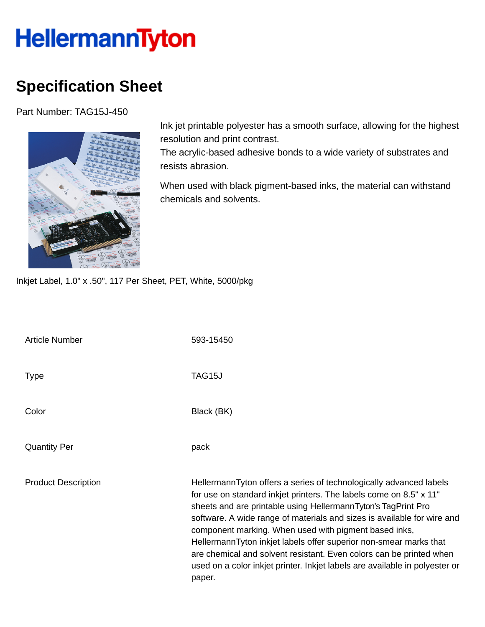## **HellermannTyton**

## **Specification Sheet**

Part Number: TAG15J-450



Ink jet printable polyester has a smooth surface, allowing for the highest resolution and print contrast.

The acrylic-based adhesive bonds to a wide variety of substrates and resists abrasion.

When used with black pigment-based inks, the material can withstand chemicals and solvents.

Inkjet Label, 1.0" x .50", 117 Per Sheet, PET, White, 5000/pkg

| <b>Article Number</b>      | 593-15450                                                                                                                                                                                                                                                                                                                                                                                                                                                                                                                                                                          |
|----------------------------|------------------------------------------------------------------------------------------------------------------------------------------------------------------------------------------------------------------------------------------------------------------------------------------------------------------------------------------------------------------------------------------------------------------------------------------------------------------------------------------------------------------------------------------------------------------------------------|
| <b>Type</b>                | TAG15J                                                                                                                                                                                                                                                                                                                                                                                                                                                                                                                                                                             |
| Color                      | Black (BK)                                                                                                                                                                                                                                                                                                                                                                                                                                                                                                                                                                         |
| <b>Quantity Per</b>        | pack                                                                                                                                                                                                                                                                                                                                                                                                                                                                                                                                                                               |
| <b>Product Description</b> | HellermannTyton offers a series of technologically advanced labels<br>for use on standard inkjet printers. The labels come on 8.5" x 11"<br>sheets and are printable using HellermannTyton's TagPrint Pro<br>software. A wide range of materials and sizes is available for wire and<br>component marking. When used with pigment based inks,<br>HellermannTyton inkjet labels offer superior non-smear marks that<br>are chemical and solvent resistant. Even colors can be printed when<br>used on a color inkjet printer. Inkjet labels are available in polyester or<br>paper. |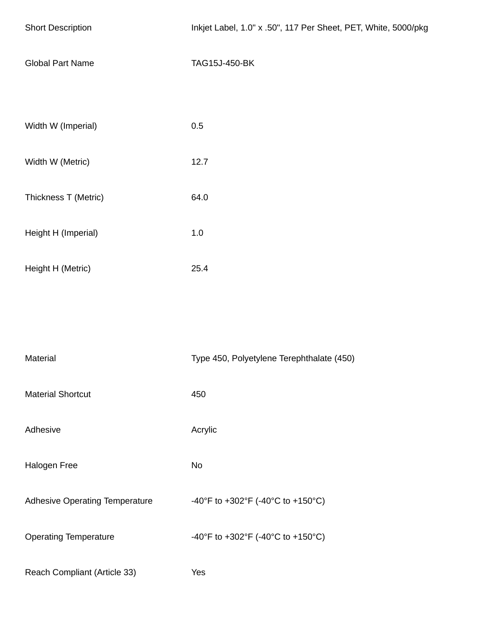| <b>Short Description</b>       | Inkjet Label, 1.0" x .50", 117 Per Sheet, PET, White, 5000/pkg |
|--------------------------------|----------------------------------------------------------------|
| <b>Global Part Name</b>        | TAG15J-450-BK                                                  |
|                                |                                                                |
| Width W (Imperial)             | 0.5                                                            |
| Width W (Metric)               | 12.7                                                           |
| Thickness T (Metric)           | 64.0                                                           |
| Height H (Imperial)            | $1.0\,$                                                        |
| Height H (Metric)              | 25.4                                                           |
|                                |                                                                |
|                                |                                                                |
| Material                       | Type 450, Polyetylene Terephthalate (450)                      |
| <b>Material Shortcut</b>       | 450                                                            |
| Adhesive                       | Acrylic                                                        |
| Halogen Free                   | <b>No</b>                                                      |
| Adhesive Operating Temperature | -40°F to +302°F (-40°C to +150°C)                              |
| <b>Operating Temperature</b>   | -40°F to +302°F (-40°C to +150°C)                              |

Reach Compliant (Article 33) Yes